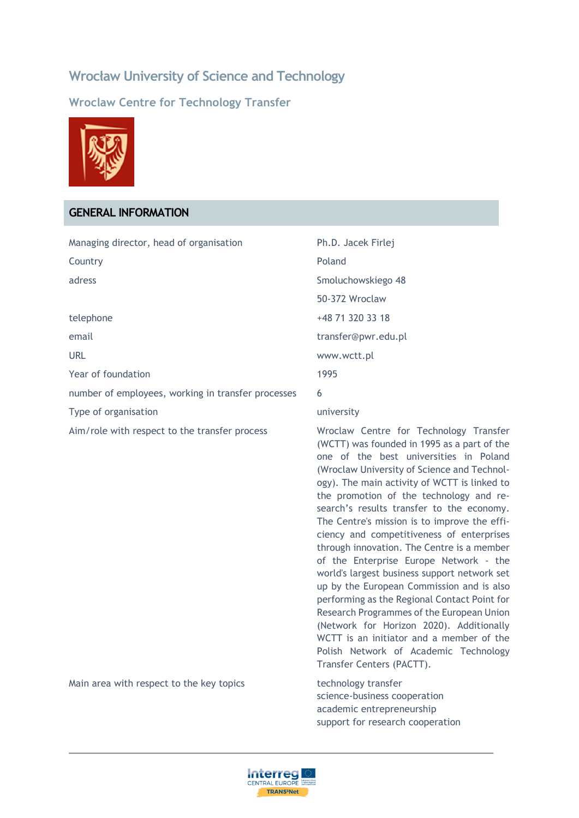# **Wrocław University of Science and Technology**

## **Wroclaw Centre for Technology Transfer**



# **GENERAL INFORMATION**

| Managing director, head of organisation            | Ph.D. Jacek Firlej                                                                                                                                                                                                                                                                                                                                                                                                                                                                                                                                                                                                                                                                                                                                                                                                                                                  |
|----------------------------------------------------|---------------------------------------------------------------------------------------------------------------------------------------------------------------------------------------------------------------------------------------------------------------------------------------------------------------------------------------------------------------------------------------------------------------------------------------------------------------------------------------------------------------------------------------------------------------------------------------------------------------------------------------------------------------------------------------------------------------------------------------------------------------------------------------------------------------------------------------------------------------------|
| Country                                            | Poland                                                                                                                                                                                                                                                                                                                                                                                                                                                                                                                                                                                                                                                                                                                                                                                                                                                              |
| adress                                             | Smoluchowskiego 48                                                                                                                                                                                                                                                                                                                                                                                                                                                                                                                                                                                                                                                                                                                                                                                                                                                  |
|                                                    | 50-372 Wroclaw                                                                                                                                                                                                                                                                                                                                                                                                                                                                                                                                                                                                                                                                                                                                                                                                                                                      |
| telephone                                          | +48 71 320 33 18                                                                                                                                                                                                                                                                                                                                                                                                                                                                                                                                                                                                                                                                                                                                                                                                                                                    |
| email                                              | transfer@pwr.edu.pl                                                                                                                                                                                                                                                                                                                                                                                                                                                                                                                                                                                                                                                                                                                                                                                                                                                 |
| <b>URL</b>                                         | www.wctt.pl                                                                                                                                                                                                                                                                                                                                                                                                                                                                                                                                                                                                                                                                                                                                                                                                                                                         |
| Year of foundation                                 | 1995                                                                                                                                                                                                                                                                                                                                                                                                                                                                                                                                                                                                                                                                                                                                                                                                                                                                |
| number of employees, working in transfer processes | 6                                                                                                                                                                                                                                                                                                                                                                                                                                                                                                                                                                                                                                                                                                                                                                                                                                                                   |
| Type of organisation                               | university                                                                                                                                                                                                                                                                                                                                                                                                                                                                                                                                                                                                                                                                                                                                                                                                                                                          |
| Aim/role with respect to the transfer process      | Wroclaw Centre for Technology Transfer<br>(WCTT) was founded in 1995 as a part of the<br>one of the best universities in Poland<br>(Wroclaw University of Science and Technol-<br>ogy). The main activity of WCTT is linked to<br>the promotion of the technology and re-<br>search's results transfer to the economy.<br>The Centre's mission is to improve the effi-<br>ciency and competitiveness of enterprises<br>through innovation. The Centre is a member<br>of the Enterprise Europe Network - the<br>world's largest business support network set<br>up by the European Commission and is also<br>performing as the Regional Contact Point for<br>Research Programmes of the European Union<br>(Network for Horizon 2020). Additionally<br>WCTT is an initiator and a member of the<br>Polish Network of Academic Technology<br>Transfer Centers (PACTT). |
| Main area with respect to the key topics           | technology transfer<br>science-business cooperation<br>academic entrepreneurship<br>support for research cooperation                                                                                                                                                                                                                                                                                                                                                                                                                                                                                                                                                                                                                                                                                                                                                |

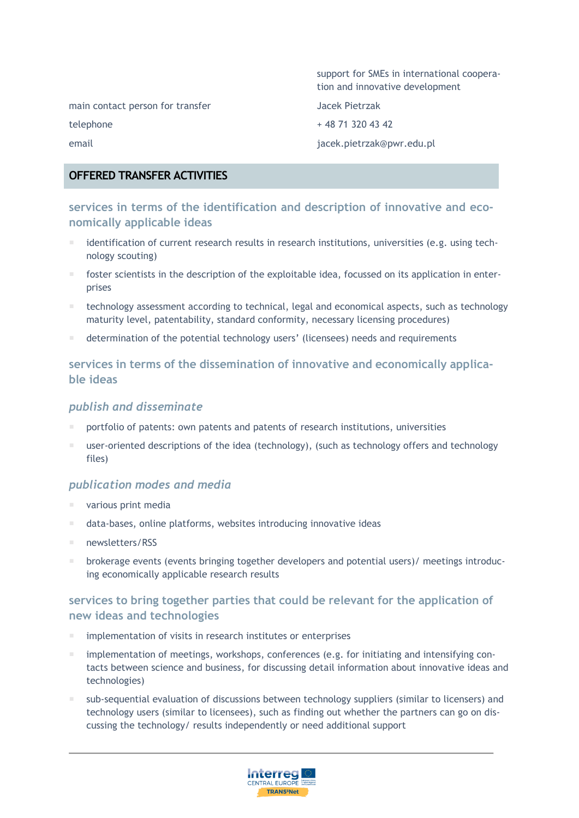main contact person for transfer and the University Jacek Pietrzak telephone + 48 71 320 43 42

support for SMEs in international cooperation and innovative development

email in the mail is a set of the set of the set of the set of the set of the set of the set of the set of the set of the set of the set of the set of the set of the set of the set of the set of the set of the set of the s

### **OFFERED TRANSFER ACTIVITIES**

**services in terms of the identification and description of innovative and economically applicable ideas**

- identification of current research results in research institutions, universities (e.g. using technology scouting)
- foster scientists in the description of the exploitable idea, focussed on its application in enterprises
- technology assessment according to technical, legal and economical aspects, such as technology maturity level, patentability, standard conformity, necessary licensing procedures)
- determination of the potential technology users' (licensees) needs and requirements

### **services in terms of the dissemination of innovative and economically applicable ideas**

### *publish and disseminate*

- portfolio of patents: own patents and patents of research institutions, universities
- user-oriented descriptions of the idea (technology), (such as technology offers and technology files)

### *publication modes and media*

- various print media
- data-bases, online platforms, websites introducing innovative ideas
- newsletters/RSS
- brokerage events (events bringing together developers and potential users)/ meetings introducing economically applicable research results

### **services to bring together parties that could be relevant for the application of new ideas and technologies**

- implementation of visits in research institutes or enterprises
- implementation of meetings, workshops, conferences (e.g. for initiating and intensifying contacts between science and business, for discussing detail information about innovative ideas and technologies)
- sub-sequential evaluation of discussions between technology suppliers (similar to licensers) and technology users (similar to licensees), such as finding out whether the partners can go on discussing the technology/ results independently or need additional support

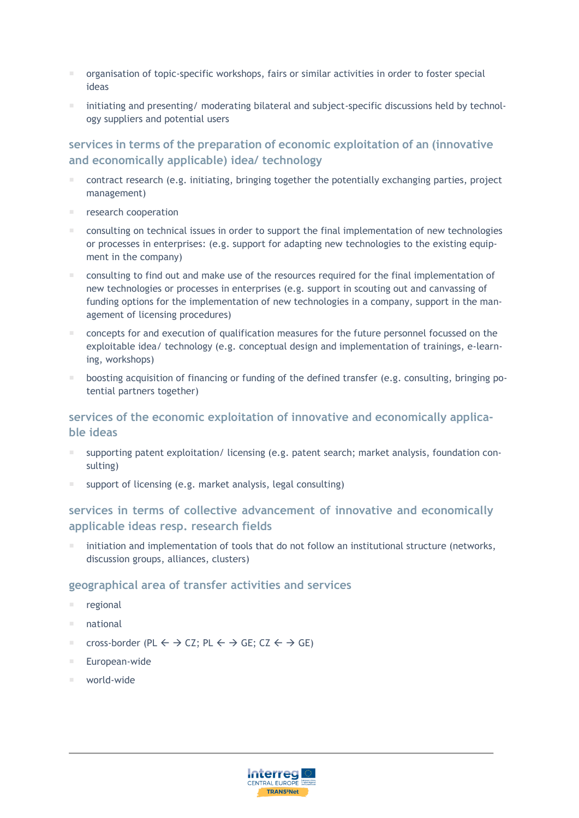- organisation of topic-specific workshops, fairs or similar activities in order to foster special ideas
- initiating and presenting/ moderating bilateral and subject-specific discussions held by technology suppliers and potential users

### **services in terms of the preparation of economic exploitation of an (innovative and economically applicable) idea/ technology**

- contract research (e.g. initiating, bringing together the potentially exchanging parties, project management)
- research cooperation
- consulting on technical issues in order to support the final implementation of new technologies or processes in enterprises: (e.g. support for adapting new technologies to the existing equipment in the company)
- consulting to find out and make use of the resources required for the final implementation of new technologies or processes in enterprises (e.g. support in scouting out and canvassing of funding options for the implementation of new technologies in a company, support in the management of licensing procedures)
- concepts for and execution of qualification measures for the future personnel focussed on the exploitable idea/ technology (e.g. conceptual design and implementation of trainings, e-learning, workshops)
- boosting acquisition of financing or funding of the defined transfer (e.g. consulting, bringing potential partners together)

### **services of the economic exploitation of innovative and economically applicable ideas**

- supporting patent exploitation/ licensing (e.g. patent search; market analysis, foundation consulting)
- support of licensing (e.g. market analysis, legal consulting)

### **services in terms of collective advancement of innovative and economically applicable ideas resp. research fields**

 initiation and implementation of tools that do not follow an institutional structure (networks, discussion groups, alliances, clusters)

### **geographical area of transfer activities and services**

- regional
- national
- cross-border (PL  $\leftarrow \rightarrow$  CZ; PL  $\leftarrow \rightarrow$  GE; CZ  $\leftarrow \rightarrow$  GE)
- **European-wide**
- world-wide